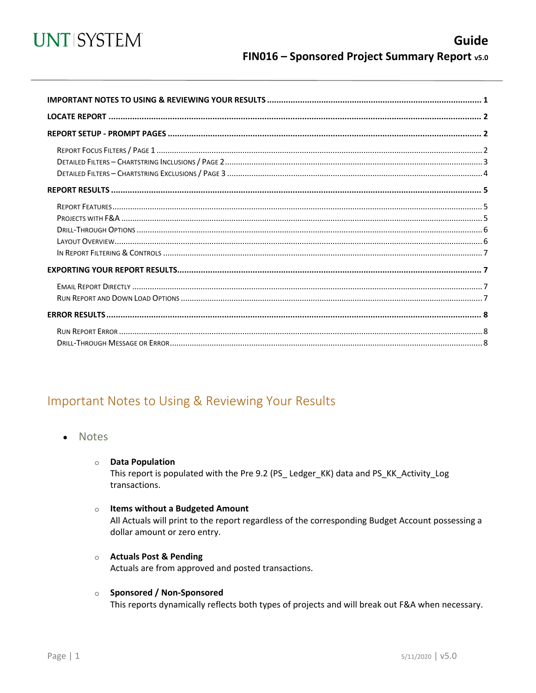

<span id="page-0-0"></span>

## Important Notes to Using & Reviewing Your Results

- **Notes** 
	- **O** Data Population

This report is populated with the Pre 9.2 (PS\_Ledger\_KK) data and PS\_KK\_Activity\_Log transactions.

#### o Items without a Budgeted Amount

All Actuals will print to the report regardless of the corresponding Budget Account possessing a dollar amount or zero entry.

**O** Actuals Post & Pending

Actuals are from approved and posted transactions.

#### o Sponsored / Non-Sponsored

This reports dynamically reflects both types of projects and will break out F&A when necessary.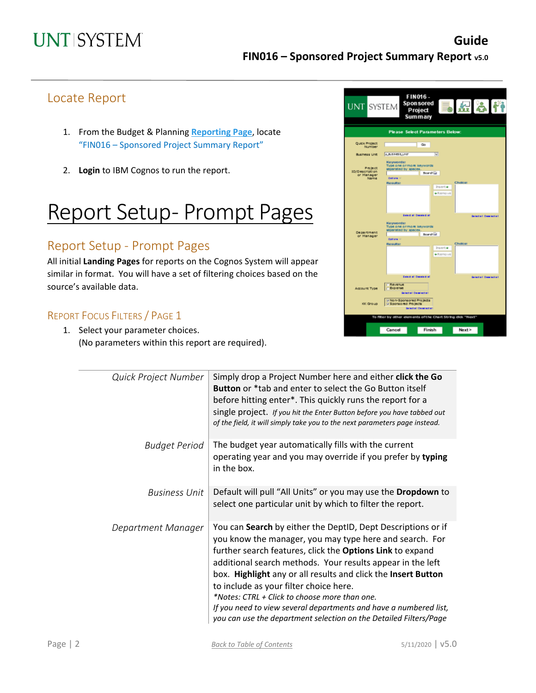## Locate Report

- 1. From the Budget & Planning **[Reporting Page](https://finance.untsystem.edu/reporting)**, locate "FIN016 – Sponsored Project Summary Report"
- 2. **Login** to IBM Cognos to run the report.

# Report Setup- Prompt Pages

## Report Setup - Prompt Pages

All initial **Landing Pages** for reports on the Cognos System will appear similar in format. You will have a set of filtering choices based on the source's available data.

## REPORT FOCUS FILTERS / PAGE 1

1. Select your parameter choices. (No parameters within this report are required).

| <b>UNT SYSTEM</b>                               | FIN016-<br><b>Sponsored</b><br>5 K 8 IT<br>Project<br>Summary                                                                              |
|-------------------------------------------------|--------------------------------------------------------------------------------------------------------------------------------------------|
|                                                 | <b>Please Select Parameters Below:</b>                                                                                                     |
| Quek Project<br><b>Number</b>                   | Go                                                                                                                                         |
| <b>Business Unit</b>                            | 0.0.07455.147<br>×                                                                                                                         |
| Project<br>ID/Description<br>or Manager<br>Name | Keywords:<br>Type one ormore keywords<br>separated by spaces<br><b>Beard Gd</b><br>Oldfaria 1/<br><b>Cholce:</b><br><b>Results:</b>        |
|                                                 | Insert +<br>+Remove<br>Sale & all Decele & all<br>Selected Completion                                                                      |
| De partment<br>or Manager                       | <b>Keywords:</b><br>Type one or more keywords<br>separated by spaces<br><b>Scarshiel</b><br>Options -<br><b>Cholce:</b><br><b>Results:</b> |
|                                                 | Insert +<br>+Remove                                                                                                                        |
| Account Type                                    | Calcul al Casaled al<br>Selected Demiected<br>Revenue<br>Explement<br>Selectell Dealerteil                                                 |
| KK Group                                        | v Non-Sponsored Projects<br>v Sponsored Projects<br>Selectell Dealershell                                                                  |
|                                                 | To filter by other elements of the Chart String did: "Next"                                                                                |
|                                                 | Finish<br>Cancel<br>Next                                                                                                                   |

| Quick Project Number | Simply drop a Project Number here and either click the Go<br><b>Button</b> or *tab and enter to select the Go Button itself<br>before hitting enter*. This quickly runs the report for a<br>single project. If you hit the Enter Button before you have tabbed out<br>of the field, it will simply take you to the next parameters page instead.                                                                                                                                                                                                         |
|----------------------|----------------------------------------------------------------------------------------------------------------------------------------------------------------------------------------------------------------------------------------------------------------------------------------------------------------------------------------------------------------------------------------------------------------------------------------------------------------------------------------------------------------------------------------------------------|
| <b>Budget Period</b> | The budget year automatically fills with the current<br>operating year and you may override if you prefer by typing<br>in the box.                                                                                                                                                                                                                                                                                                                                                                                                                       |
| Business Unit        | Default will pull "All Units" or you may use the Dropdown to<br>select one particular unit by which to filter the report.                                                                                                                                                                                                                                                                                                                                                                                                                                |
| Department Manager   | You can Search by either the DeptID, Dept Descriptions or if<br>you know the manager, you may type here and search. For<br>further search features, click the Options Link to expand<br>additional search methods. Your results appear in the left<br>box. Highlight any or all results and click the Insert Button<br>to include as your filter choice here.<br>*Notes: CTRL + Click to choose more than one.<br>If you need to view several departments and have a numbered list,<br>you can use the department selection on the Detailed Filters/Page |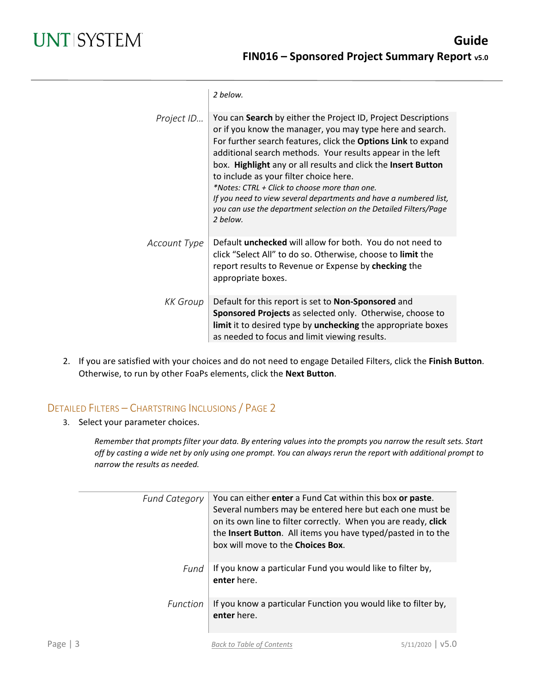|              | 2 helow.                                                                                                                                                                                                                                                                                                                                                                                                                                                                                                                                                                    |
|--------------|-----------------------------------------------------------------------------------------------------------------------------------------------------------------------------------------------------------------------------------------------------------------------------------------------------------------------------------------------------------------------------------------------------------------------------------------------------------------------------------------------------------------------------------------------------------------------------|
| Project ID   | You can Search by either the Project ID, Project Descriptions<br>or if you know the manager, you may type here and search.<br>For further search features, click the Options Link to expand<br>additional search methods. Your results appear in the left<br>box. Highlight any or all results and click the Insert Button<br>to include as your filter choice here.<br>*Notes: CTRL + Click to choose more than one.<br>If you need to view several departments and have a numbered list,<br>you can use the department selection on the Detailed Filters/Page<br>2 helow. |
| Account Type | Default <b>unchecked</b> will allow for both. You do not need to<br>click "Select All" to do so. Otherwise, choose to limit the<br>report results to Revenue or Expense by checking the<br>appropriate boxes.                                                                                                                                                                                                                                                                                                                                                               |
| KK Group     | Default for this report is set to Non-Sponsored and<br>Sponsored Projects as selected only. Otherwise, choose to<br>limit it to desired type by unchecking the appropriate boxes<br>as needed to focus and limit viewing results.                                                                                                                                                                                                                                                                                                                                           |

2. If you are satisfied with your choices and do not need to engage Detailed Filters, click the **Finish Button**. Otherwise, to run by other FoaPs elements, click the **Next Button**.

## DETAILED FILTERS – CHARTSTRING INCLUSIONS / PAGE 2

3. Select your parameter choices.

*Remember that prompts filter your data. By entering values into the prompts you narrow the result sets. Start off by casting a wide net by only using one prompt. You can always rerun the report with additional prompt to narrow the results as needed.*

| <b>Fund Category</b> | You can either enter a Fund Cat within this box or paste.<br>Several numbers may be entered here but each one must be<br>on its own line to filter correctly. When you are ready, click<br>the Insert Button. All items you have typed/pasted in to the<br>box will move to the <b>Choices Box</b> . |
|----------------------|------------------------------------------------------------------------------------------------------------------------------------------------------------------------------------------------------------------------------------------------------------------------------------------------------|
| Fund                 | If you know a particular Fund you would like to filter by,<br>enter here.                                                                                                                                                                                                                            |
| Function             | If you know a particular Function you would like to filter by,<br>enter here.                                                                                                                                                                                                                        |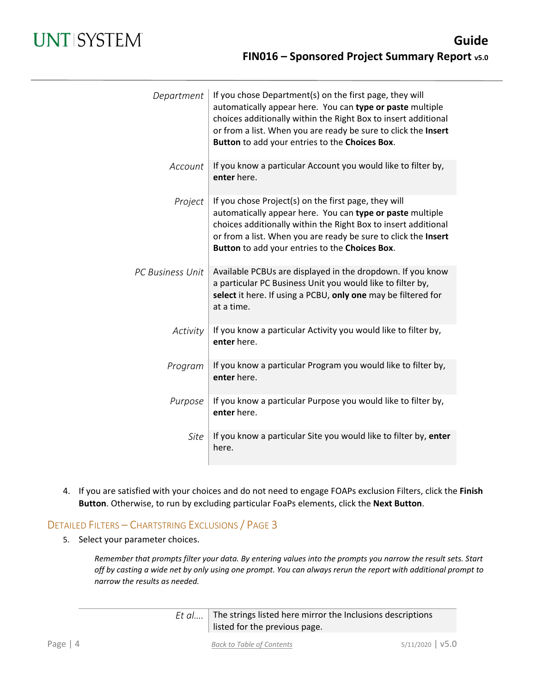| Department              | If you chose Department(s) on the first page, they will<br>automatically appear here. You can type or paste multiple<br>choices additionally within the Right Box to insert additional<br>or from a list. When you are ready be sure to click the Insert<br>Button to add your entries to the Choices Box. |
|-------------------------|------------------------------------------------------------------------------------------------------------------------------------------------------------------------------------------------------------------------------------------------------------------------------------------------------------|
| Account                 | If you know a particular Account you would like to filter by,<br>enter here.                                                                                                                                                                                                                               |
| Project                 | If you chose Project(s) on the first page, they will<br>automatically appear here. You can type or paste multiple<br>choices additionally within the Right Box to insert additional<br>or from a list. When you are ready be sure to click the Insert<br>Button to add your entries to the Choices Box.    |
| <b>PC Business Unit</b> | Available PCBUs are displayed in the dropdown. If you know<br>a particular PC Business Unit you would like to filter by,<br>select it here. If using a PCBU, only one may be filtered for<br>at a time.                                                                                                    |
| Activity                | If you know a particular Activity you would like to filter by,<br>enter here.                                                                                                                                                                                                                              |
| Program                 | If you know a particular Program you would like to filter by,<br>enter here.                                                                                                                                                                                                                               |
| Purpose                 | If you know a particular Purpose you would like to filter by,<br>enter here.                                                                                                                                                                                                                               |
| Site                    | If you know a particular Site you would like to filter by, enter<br>here.                                                                                                                                                                                                                                  |

4. If you are satisfied with your choices and do not need to engage FOAPs exclusion Filters, click the **Finish Button**. Otherwise, to run by excluding particular FoaPs elements, click the **Next Button**.

## DETAILED FILTERS – CHARTSTRING EXCLUSIONS / PAGE 3

5. Select your parameter choices.

*Remember that prompts filter your data. By entering values into the prompts you narrow the result sets. Start off by casting a wide net by only using one prompt. You can always rerun the report with additional prompt to narrow the results as needed.*

| Et $a$ The strings listed here mirror the Inclusions descriptions |
|-------------------------------------------------------------------|
| listed for the previous page.                                     |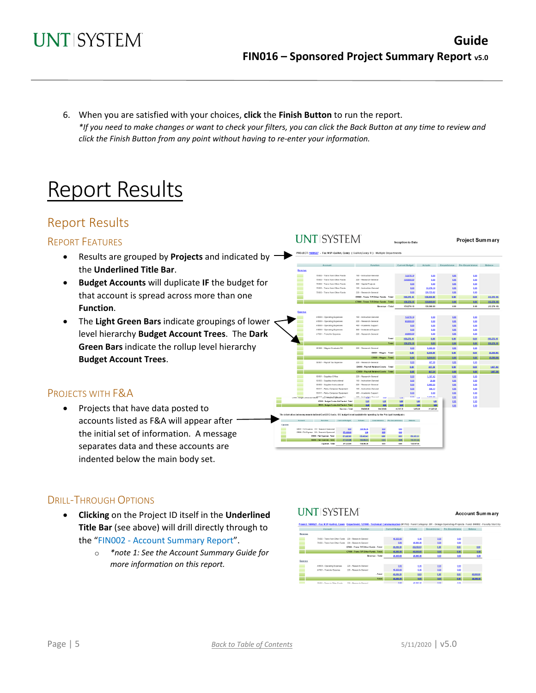6. When you are satisfied with your choices, **click** the **Finish Button** to run the report. *\*If you need to make changes or want to check your filters, you can click the Back Button at any time to review and click the Finish Button from any point without having to re-enter your information.*

# Report Results

## Report Results

#### REPORT FEATURES

- Results are grouped by **Projects** and indicated by the **Underlined Title Bar**.
- **Budget Accounts** will duplicate **IF** the budget for that account is spread across more than one **Function**.
- The **Light Green Bars** indicate groupings of lower level hierarchy **Budget Account Trees**. The **Dark Green Bars** indicate the rollup level hierarchy **Budget Account Trees**.

### PROJECTS WITH F&A

• Projects that have data posted to accounts listed as F&A will appear after the initial set of information. A message separates data and these accounts are indented below the main body set.



## DRILL-THROUGH OPTIONS

- **Clicking** on the Project ID itself in the **Underlined Title Bar** (see above) will drill directly through to the "FIN002 - Account Summary Report".
	- o *\*note 1: See the Account Summary Guide for more information on this report.*



**UNT SYSTEM** 

27 - Fac NSP-Guillot, Casey ()

**Account Summary** 

Project Summary

12,276.18

150,276.18

38,000.00

9,500.00



D5031 - Wages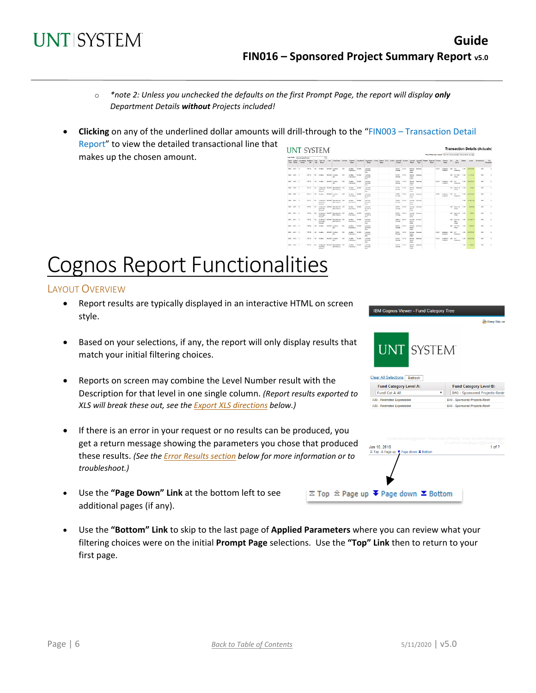

- o *\*note 2: Unless you unchecked the defaults on the first Prompt Page, the report will display only Department Details without Projects included!*
- **Clicking** on any of the underlined dollar amounts will drill-through to the "FIN003 Transaction Detail Report" to view the detailed transactional line that **UNT SYSTEM Transaction Details (Actuals)** makes up the chosen amount.

|                 | fort Order: Accounting Penad |              |           | $\overline{\mathbf{v}}$        |                                                                                                                                                                                                                                |     |                                  |              |                                                      |       |  |                                   |        |                                                    |                         |        |             |                                      |                |                                       |      |                      |                               |                         |
|-----------------|------------------------------|--------------|-----------|--------------------------------|--------------------------------------------------------------------------------------------------------------------------------------------------------------------------------------------------------------------------------|-----|----------------------------------|--------------|------------------------------------------------------|-------|--|-----------------------------------|--------|----------------------------------------------------|-------------------------|--------|-------------|--------------------------------------|----------------|---------------------------------------|------|----------------------|-------------------------------|-------------------------|
|                 | Year Period Period           | DO.          | $0$       | Dispon                         | Pacel Bedot, According Beakcas Punt, Pand Fry Beach Pancisco, Pancisco, Pancisco Department Deployment, Policy Printer, POSI, Activis Accord   Accord   Personal Printers, Pancisco, Pancisco, Pancisco, Pancisco, Pancisco, P |     | <b>Base</b>                      |              | Peace.                                               | Deptz |  | <b>DLIVE</b>                      |        |                                                    | Description Times       | Descri |             | <b>Geage</b>                         |                | Ossor                                 |      |                      | Str. Budget Achai Emanitrance | Dr.<br><b>Droumbran</b> |
| 2011 2010 0     |                              | 87722        | 130       | Author                         | <b>SIDOLE</b> Auditors<br>Ger.                                                                                                                                                                                                 | TC4 | <b>Audiev</b><br>Critervines     | 913600       | Andrey<br>Genderek<br>Geb.                           |       |  | 04216<br>Dawido                   | 42115  | tena-<br>Cours<br>Lance                            | <b>Searce</b>           |        | \$3289      | Contents to:<br>Contract             | 001            | Luce.<br>Englisher                    |      | C-83 GLBT3-KG        | 0.30                          | $^{46}$                 |
| 2019 2010 0     |                              | HEP12        |           | OC daughty                     | <b>BIOCK Juniors</b><br>Get.                                                                                                                                                                                                   | 200 | Grates state<br><b>Crammered</b> |              | <b>Nedary</b><br>Sendown.<br>Geb.                    |       |  | DATE.<br><b>Gentler</b>           | 42485  | Dartish.<br>SENA<br>Lease                          | <b>Searce</b>           |        |             |                                      |                | ORD LIST Does<br><b>DOG</b>           | CA3  | 2.94.03              | 630                           | $^{12}$                 |
| 2018 2019 0     |                              | arres-       |           | 130 Audust                     | <b>ROOM DURANT</b><br><b>DAY</b>                                                                                                                                                                                               | 20g | SURV. SOU<br>Francisco           |              | <b>No Simo</b><br>iervice.<br>Links                  |       |  | 04218<br>PARM                     | areas. | <b>Farth K</b><br><b>Santa</b><br><b>Education</b> | <b>ENVIRON</b>          |        | 13099       | Contribute 1985 and<br>Carabica      |                | Endelma                               |      | $(0)$ (417.4)        | 430                           | $+1$                    |
| 2010 1910 11    |                              | 81746        | 25        | <b>DOM AND</b><br><b>Drawn</b> | Department details throughoutes, 2010<br><b>Departments</b>                                                                                                                                                                    |     | Seniory.<br><b>LONGINIA</b>      | <b>TERR</b>  | <b>AWRIGHT</b><br><b>Manufacture</b><br><b>Floor</b> |       |  | <b>DETER</b><br><b>DOM NO</b>     | OW     | <b>FRIDAY</b><br><b>TANA</b><br>finery.            | <b><i>INVESTIGA</i></b> |        |             |                                      |                | VALUABLE OF<br>19.64                  | 693  | 35.81                | 110                           | $\infty$                |
| trees recent in |                              | 31.141       |           | <b>COLL FAMBAS</b>             | <b>FREE ASSAULT</b><br>Mar.                                                                                                                                                                                                    | A18 | <b>CAMBRO</b><br><b>Nickels</b>  | <b>SEAR</b>  | <b>Auction</b><br>Novem.<br>Day:                     |       |  | <b>INFORMA</b><br><b>Building</b> | 8.7880 | <b>THEFT</b><br><b>Fallen</b><br><b>Toward</b>     | <b>STATES</b>           |        | 10,910      | managers who see<br><b>Conferent</b> |                | <b>Backetown</b>                      |      | <b>CALL OR BOLDS</b> | $\sim$                        | $\sim$                  |
| 2010 1010 10    |                              | 81747        | 2T'       | Outsides.<br><b>Council</b>    | Desputed Shifty throughout (26)<br><b>Boorders</b>                                                                                                                                                                             |     | <b>Cambro</b><br><b>Printers</b> | reas.        | <b>SHERP</b><br>No substitute<br>Figs.               |       |  | ners, em-<br><b>DOM AN</b>        |        | <b>FAMIL</b><br><b>Downer</b>                      | Indo, Inche             |        |             |                                      |                |                                       |      | 101 - 107 ID         | 18                            | $\infty$                |
| 2009 2010 16    |                              | STYC.        | 200       | Opening<br>Count               | Designed SMES Developed 200<br>Obstrings                                                                                                                                                                                       |     | <b>Septem</b><br><b>D'ASKAY</b>  | <b>HALF</b>  | <b>Solar</b><br>Scrytche<br>Cm.                      |       |  | NEL PIN<br>Dollar a               |        | Search<br><b>System</b>                            | India, Inche            |        |             |                                      |                | TAX America<br>Pauloi                 | 1.07 | <b>CONTINUE</b>      | 100                           | $\sim$                  |
| 2815 2810 6     |                              | <b>STYP</b>  | <b>NW</b> | Outsides<br><b>Control</b>     | Document SIDES Departments 708<br><b>Observitiers</b>                                                                                                                                                                          |     | <b>Author</b><br>Driveries       | <b>REMOV</b> | hindur<br>Scotting<br>Cm.                            |       |  | <b>BARR - 42185</b><br>Donato     |        | Spiller<br><b>Seattle</b><br>long                  | Source                  |        |             |                                      |                | USS Dann Co.<br>Finant                | 7.53 | 32.83                | 4.90                          | $^{46}$                 |
| 2011 2010 4     |                              | 37752        | 330       | Operation-<br><b>General</b>   | Designated SIROIS Departments 700<br>Obzeitnen                                                                                                                                                                                 |     | Author: 02500<br>Dritmotoco      |              | <b>Ander</b><br>Strikin-<br>Con.                     |       |  | 04218 - 42131<br>Dentals          |        | <b>Smith</b><br>Seate-<br>Legac                    | <b>Sears</b>            |        |             |                                      |                | 1000 Selection<br>RN<br><b>Fig.64</b> | 6.03 | 11,326,715           | 530                           | $^{12}$                 |
| 2015 2015 5     |                              | <b>STYLE</b> | 400       | Audienc                        | <b>SINE Anders</b><br>Gar.                                                                                                                                                                                                     | 708 | Audiey.<br>Cranofoss             | erung        | Anders<br>Services-<br>Gan                           |       |  | <b>NAME: 42115</b><br>Remate      |        | <b>Serbin.</b><br>Sauce-<br>Lease                  | Search                  |        |             |                                      |                | GBS UNTRue<br><b>Office</b>           | can  | 1,554.55             | 9.30                          | $\mathcal{U}$           |
| 2010 2010 5     |                              | 87732        | 120       | Audian                         | \$10000 Audien-<br><b>Ger</b>                                                                                                                                                                                                  | TO  | Audiev.<br>Orienteses            | 153400       | Apdare<br>Cendras<br>Gan.                            |       |  | 04216 -<br><b>De Kido</b>         | 42115  | <b>Rankley</b><br><b>Same</b><br>Lease             | <b>Review</b>           |        | 13289       | Cookatere<br>Cordent                 | <b>GBS</b> LMT | Contentes                             |      | C-03 GLBT3-KX        | 0.30                          | $^{46}$                 |
| 2011 2010 0     |                              | 87712        |           | CC Author                      | <b>BIDDER JUNEAUX</b><br>Ger.                                                                                                                                                                                                  | 700 | <b>Golden</b><br>Critectere      | 913000       | Andrew<br><b>Services</b><br>Geb.                    |       |  | 04216<br>Genevie                  | 42183  | <b>Service</b><br>Sante<br>Lease                   | Investo                 |        | <b>COST</b> | Contentero CRS Ltd.<br>Contened      |                | Ennistma                              |      | C-83 GLBT3-KG        | 9.30                          | $^{12}$                 |
| 2018 00:0 G     |                              | HEYES.       | 1002      |                                | Canbrews, 80003 Canadesers 708                                                                                                                                                                                                 |     | Audience states                  |              | Andrew                                               |       |  | DATE.                             | 20185  |                                                    | Detail Dealer           |        |             |                                      |                |                                       | 6.63 | 3,500,000            | 8.30                          | $+1$                    |

# Cognos Report Functionalities

#### LAYOUT OVERVIEW

- Report results are typically displayed in an interactive HTML on screen style.
- Based on your selections, if any, the report will only display results that match your initial filtering choices.
- Reports on screen may combine the Level Number result with the Description for that level in one single column. *(Report results exported to XLS will break these out, see th[e Export XLS directions](#page-6-0) below.)*
- If there is an error in your request or no results can be produced, you get a return message showing the parameters you chose that produced these results. *(See th[e Error Results section](#page-7-0) below for more information or to troubleshoot.)*
- Use the **"Page Down" Link** at the bottom left to see additional pages (if any).

|                                                             | Keep this ve                          |
|-------------------------------------------------------------|---------------------------------------|
| <b>UNT SYSTEM</b><br><b>Clear All Selections</b><br>Refresh |                                       |
| <b>Fund Category Level A:</b>                               | <b>Fund Category Level B:</b>         |
| Fund Cat A All<br>۷                                         | B40 - Sponsored Projects-Restr        |
| A30 - Restricted Expendable                                 | B40 - Sponsored Projects-Restr        |
| A30 - Restricted Expendable                                 | <b>B40 - Sponsored Projects-Restr</b> |



• Use the **"Bottom" Link** to skip to the last page of **Applied Parameters** where you can review what your filtering choices were on the initial **Prompt Page** selections. Use the **"Top" Link** then to return to your first page.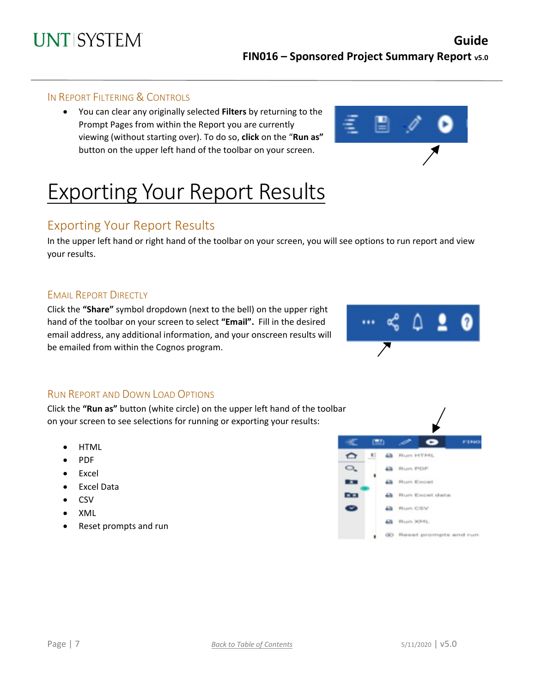### IN REPORT FILTERING & CONTROLS

• You can clear any originally selected **Filters** by returning to the Prompt Pages from within the Report you are currently viewing (without starting over). To do so, **click** on the "**Run as"**  button on the upper left hand of the toolbar on your screen.



# Exporting Your Report Results

## Exporting Your Report Results

In the upper left hand or right hand of the toolbar on your screen, you will see options to run report and view your results.

### **EMAIL REPORT DIRECTLY**

Click the **"Share"** symbol dropdown (next to the bell) on the upper right hand of the toolbar on your screen to select **"Email".** Fill in the desired email address, any additional information, and your onscreen results will be emailed from within the Cognos program.



### <span id="page-6-0"></span>RUN REPORT AND DOWN LOAD OPTIONS

Click the **"Run as"** button (white circle) on the upper left hand of the toolbar on your screen to see selections for running or exporting your results:

- HTML
- PDF
- Excel
- Excel Data
- CSV
- XML
- Reset prompts and run